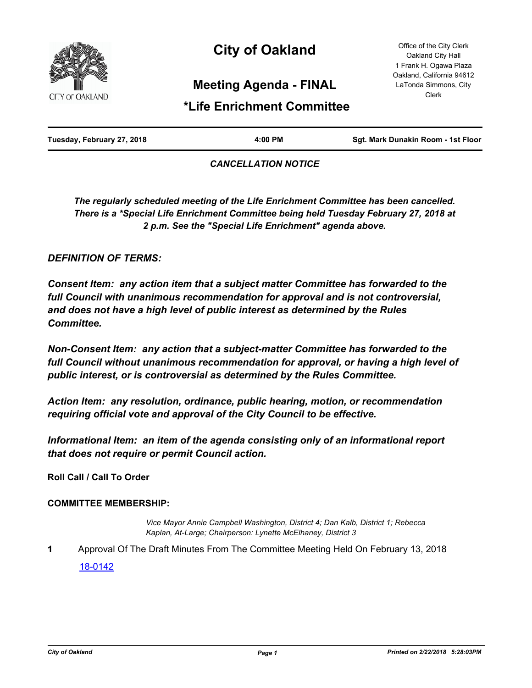

# **City of Oakland**

Office of the City Clerk Oakland City Hall 1 Frank H. Ogawa Plaza Oakland, California 94612 LaTonda Simmons, City Clerk

## **Meeting Agenda - FINAL**

# **\*Life Enrichment Committee**

| Tuesday, February 27, 2018 | 4:00 PM | Sgt. Mark Dunakin Room - 1st Floor |
|----------------------------|---------|------------------------------------|
|                            |         |                                    |

### *CANCELLATION NOTICE*

*The regularly scheduled meeting of the Life Enrichment Committee has been cancelled. There is a \*Special Life Enrichment Committee being held Tuesday February 27, 2018 at 2 p.m. See the "Special Life Enrichment" agenda above.*

### *DEFINITION OF TERMS:*

*Consent Item: any action item that a subject matter Committee has forwarded to the full Council with unanimous recommendation for approval and is not controversial, and does not have a high level of public interest as determined by the Rules Committee.*

*Non-Consent Item: any action that a subject-matter Committee has forwarded to the*  full Council without unanimous recommendation for approval, or having a high level of *public interest, or is controversial as determined by the Rules Committee.*

*Action Item: any resolution, ordinance, public hearing, motion, or recommendation requiring official vote and approval of the City Council to be effective.*

*Informational Item: an item of the agenda consisting only of an informational report that does not require or permit Council action.*

**Roll Call / Call To Order**

#### **COMMITTEE MEMBERSHIP:**

*Vice Mayor Annie Campbell Washington, District 4; Dan Kalb, District 1; Rebecca Kaplan, At-Large; Chairperson: Lynette McElhaney, District 3*

**1** Approval Of The Draft Minutes From The Committee Meeting Held On February 13, 2018 [18-0142](http://oakland.legistar.com/gateway.aspx?m=l&id=/matter.aspx?key=28578)